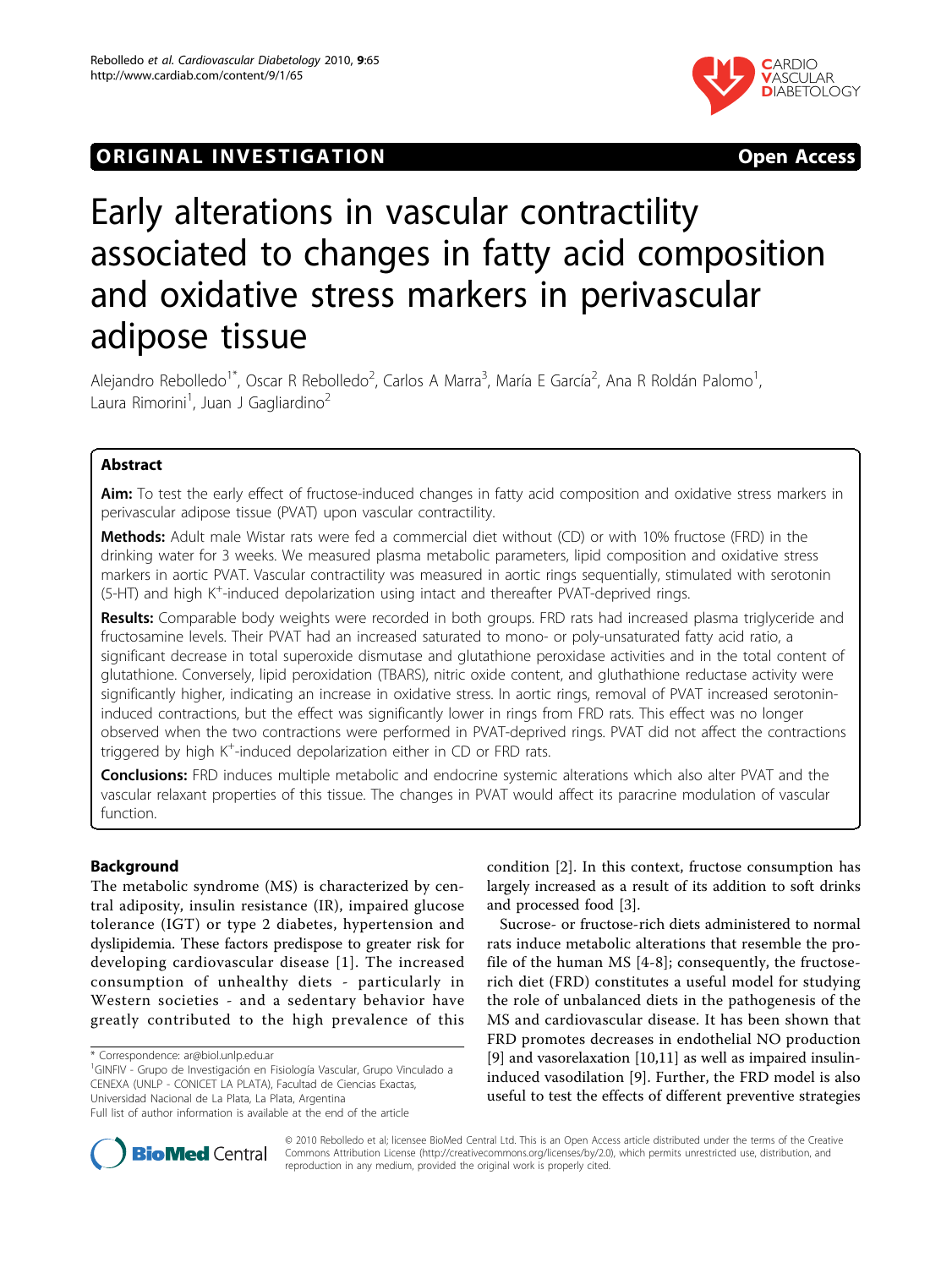# **ORIGINAL INVESTIGATION CONSIDERING OPEN ACCESS**



# Early alterations in vascular contractility associated to changes in fatty acid composition and oxidative stress markers in perivascular adipose tissue

Alejandro Rebolledo<sup>1\*</sup>, Oscar R Rebolledo<sup>2</sup>, Carlos A Marra<sup>3</sup>, María E García<sup>2</sup>, Ana R Roldán Palomo<sup>1</sup> , Laura Rimorini<sup>1</sup>, Juan J Gagliardino<sup>2</sup>

# Abstract

Aim: To test the early effect of fructose-induced changes in fatty acid composition and oxidative stress markers in perivascular adipose tissue (PVAT) upon vascular contractility.

Methods: Adult male Wistar rats were fed a commercial diet without (CD) or with 10% fructose (FRD) in the drinking water for 3 weeks. We measured plasma metabolic parameters, lipid composition and oxidative stress markers in aortic PVAT. Vascular contractility was measured in aortic rings sequentially, stimulated with serotonin (5-HT) and high K<sup>+</sup>-induced depolarization using intact and thereafter PVAT-deprived rings.

Results: Comparable body weights were recorded in both groups. FRD rats had increased plasma triglyceride and fructosamine levels. Their PVAT had an increased saturated to mono- or poly-unsaturated fatty acid ratio, a significant decrease in total superoxide dismutase and glutathione peroxidase activities and in the total content of glutathione. Conversely, lipid peroxidation (TBARS), nitric oxide content, and gluthathione reductase activity were significantly higher, indicating an increase in oxidative stress. In aortic rings, removal of PVAT increased serotonininduced contractions, but the effect was significantly lower in rings from FRD rats. This effect was no longer observed when the two contractions were performed in PVAT-deprived rings. PVAT did not affect the contractions triggered by high K<sup>+</sup>-induced depolarization either in CD or FRD rats.

**Conclusions:** FRD induces multiple metabolic and endocrine systemic alterations which also alter PVAT and the vascular relaxant properties of this tissue. The changes in PVAT would affect its paracrine modulation of vascular function.

# **Background**

The metabolic syndrome (MS) is characterized by central adiposity, insulin resistance (IR), impaired glucose tolerance (IGT) or type 2 diabetes, hypertension and dyslipidemia. These factors predispose to greater risk for developing cardiovascular disease [\[1\]](#page-7-0). The increased consumption of unhealthy diets - particularly in Western societies - and a sedentary behavior have greatly contributed to the high prevalence of this

\* Correspondence: [ar@biol.unlp.edu.ar](mailto:ar@biol.unlp.edu.ar)

<sup>1</sup>GINFIV - Grupo de Investigación en Fisiología Vascular, Grupo Vinculado a CENEXA (UNLP - CONICET LA PLATA), Facultad de Ciencias Exactas, Universidad Nacional de La Plata, La Plata, Argentina

condition [[2\]](#page-7-0). In this context, fructose consumption has largely increased as a result of its addition to soft drinks and processed food [[3](#page-7-0)].

Sucrose- or fructose-rich diets administered to normal rats induce metabolic alterations that resemble the profile of the human MS [\[4](#page-7-0)-[8](#page-7-0)]; consequently, the fructoserich diet (FRD) constitutes a useful model for studying the role of unbalanced diets in the pathogenesis of the MS and cardiovascular disease. It has been shown that FRD promotes decreases in endothelial NO production [[9\]](#page-7-0) and vasorelaxation [\[10,11\]](#page-7-0) as well as impaired insulininduced vasodilation [[9\]](#page-7-0). Further, the FRD model is also useful to test the effects of different preventive strategies



© 2010 Rebolledo et al; licensee BioMed Central Ltd. This is an Open Access article distributed under the terms of the Creative Commons Attribution License [\(http://creativecommons.org/licenses/by/2.0](http://creativecommons.org/licenses/by/2.0)), which permits unrestricted use, distribution, and reproduction in any medium, provided the original work is properly cited.

Full list of author information is available at the end of the article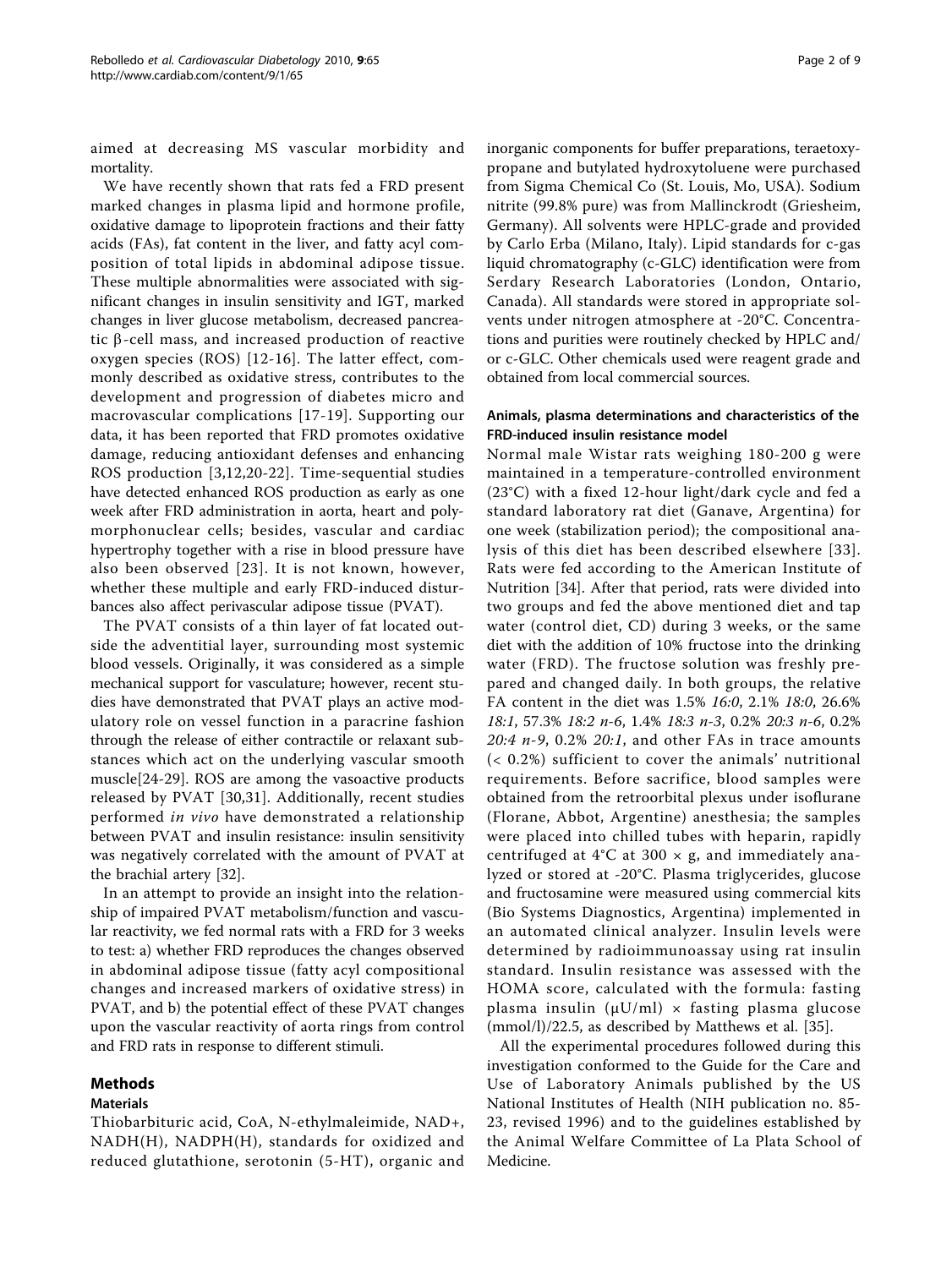aimed at decreasing MS vascular morbidity and mortality.

We have recently shown that rats fed a FRD present marked changes in plasma lipid and hormone profile, oxidative damage to lipoprotein fractions and their fatty acids (FAs), fat content in the liver, and fatty acyl composition of total lipids in abdominal adipose tissue. These multiple abnormalities were associated with significant changes in insulin sensitivity and IGT, marked changes in liver glucose metabolism, decreased pancreatic  $\beta$ -cell mass, and increased production of reactive oxygen species (ROS) [[12](#page-7-0)-[16](#page-7-0)]. The latter effect, commonly described as oxidative stress, contributes to the development and progression of diabetes micro and macrovascular complications [[17-19\]](#page-7-0). Supporting our data, it has been reported that FRD promotes oxidative damage, reducing antioxidant defenses and enhancing ROS production [[3,12,20](#page-7-0)-[22](#page-7-0)]. Time-sequential studies have detected enhanced ROS production as early as one week after FRD administration in aorta, heart and polymorphonuclear cells; besides, vascular and cardiac hypertrophy together with a rise in blood pressure have also been observed [[23\]](#page-7-0). It is not known, however, whether these multiple and early FRD-induced disturbances also affect perivascular adipose tissue (PVAT).

The PVAT consists of a thin layer of fat located outside the adventitial layer, surrounding most systemic blood vessels. Originally, it was considered as a simple mechanical support for vasculature; however, recent studies have demonstrated that PVAT plays an active modulatory role on vessel function in a paracrine fashion through the release of either contractile or relaxant substances which act on the underlying vascular smooth muscle[\[24](#page-7-0)-[29\]](#page-7-0). ROS are among the vasoactive products released by PVAT [[30](#page-7-0),[31\]](#page-7-0). Additionally, recent studies performed in vivo have demonstrated a relationship between PVAT and insulin resistance: insulin sensitivity was negatively correlated with the amount of PVAT at the brachial artery [\[32\]](#page-7-0).

In an attempt to provide an insight into the relationship of impaired PVAT metabolism/function and vascular reactivity, we fed normal rats with a FRD for 3 weeks to test: a) whether FRD reproduces the changes observed in abdominal adipose tissue (fatty acyl compositional changes and increased markers of oxidative stress) in PVAT, and b) the potential effect of these PVAT changes upon the vascular reactivity of aorta rings from control and FRD rats in response to different stimuli.

# Methods

# Materials

Thiobarbituric acid, CoA, N-ethylmaleimide, NAD+, NADH(H), NADPH(H), standards for oxidized and reduced glutathione, serotonin (5-HT), organic and inorganic components for buffer preparations, teraetoxypropane and butylated hydroxytoluene were purchased from Sigma Chemical Co (St. Louis, Mo, USA). Sodium nitrite (99.8% pure) was from Mallinckrodt (Griesheim, Germany). All solvents were HPLC-grade and provided by Carlo Erba (Milano, Italy). Lipid standards for c-gas liquid chromatography (c-GLC) identification were from Serdary Research Laboratories (London, Ontario, Canada). All standards were stored in appropriate solvents under nitrogen atmosphere at -20°C. Concentrations and purities were routinely checked by HPLC and/ or c-GLC. Other chemicals used were reagent grade and obtained from local commercial sources.

#### Animals, plasma determinations and characteristics of the FRD-induced insulin resistance model

Normal male Wistar rats weighing 180-200 g were maintained in a temperature-controlled environment (23°C) with a fixed 12-hour light/dark cycle and fed a standard laboratory rat diet (Ganave, Argentina) for one week (stabilization period); the compositional analysis of this diet has been described elsewhere [[33\]](#page-7-0). Rats were fed according to the American Institute of Nutrition [[34\]](#page-7-0). After that period, rats were divided into two groups and fed the above mentioned diet and tap water (control diet, CD) during 3 weeks, or the same diet with the addition of 10% fructose into the drinking water (FRD). The fructose solution was freshly prepared and changed daily. In both groups, the relative FA content in the diet was 1.5% 16:0, 2.1% 18:0, 26.6% 18:1, 57.3% 18:2 n-6, 1.4% 18:3 n-3, 0.2% 20:3 n-6, 0.2% 20:4  $n-9$ , 0.2% 20:1, and other FAs in trace amounts (< 0.2%) sufficient to cover the animals' nutritional requirements. Before sacrifice, blood samples were obtained from the retroorbital plexus under isoflurane (Florane, Abbot, Argentine) anesthesia; the samples were placed into chilled tubes with heparin, rapidly centrifuged at  $4^{\circ}$ C at 300  $\times$  g, and immediately analyzed or stored at -20°C. Plasma triglycerides, glucose and fructosamine were measured using commercial kits (Bio Systems Diagnostics, Argentina) implemented in an automated clinical analyzer. Insulin levels were determined by radioimmunoassay using rat insulin standard. Insulin resistance was assessed with the HOMA score, calculated with the formula: fasting plasma insulin  $(\mu U/ml) \times$  fasting plasma glucose (mmol/l)/22.5, as described by Matthews et al. [\[35](#page-7-0)].

All the experimental procedures followed during this investigation conformed to the Guide for the Care and Use of Laboratory Animals published by the US National Institutes of Health (NIH publication no. 85- 23, revised 1996) and to the guidelines established by the Animal Welfare Committee of La Plata School of Medicine.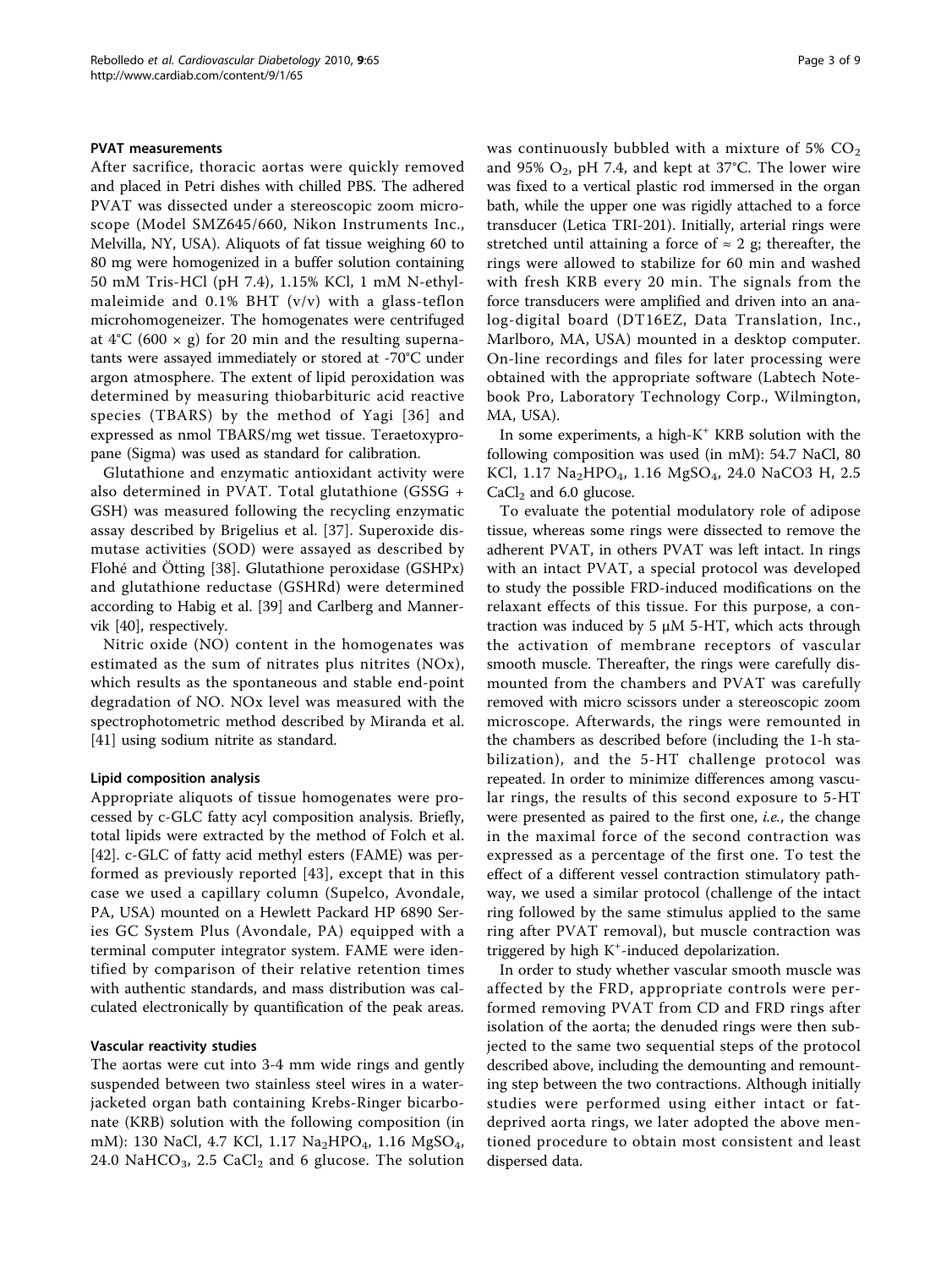#### PVAT measurements

After sacrifice, thoracic aortas were quickly removed and placed in Petri dishes with chilled PBS. The adhered PVAT was dissected under a stereoscopic zoom microscope (Model SMZ645/660, Nikon Instruments Inc., Melvilla, NY, USA). Aliquots of fat tissue weighing 60 to 80 mg were homogenized in a buffer solution containing 50 mM Tris-HCl (pH 7.4), 1.15% KCl, 1 mM N-ethylmaleimide and  $0.1\%$  BHT (v/v) with a glass-teflon microhomogeneizer. The homogenates were centrifuged at  $4^{\circ}C$  (600  $\times$  g) for 20 min and the resulting supernatants were assayed immediately or stored at -70°C under argon atmosphere. The extent of lipid peroxidation was determined by measuring thiobarbituric acid reactive species (TBARS) by the method of Yagi [[36\]](#page-7-0) and expressed as nmol TBARS/mg wet tissue. Teraetoxypropane (Sigma) was used as standard for calibration.

Glutathione and enzymatic antioxidant activity were also determined in PVAT. Total glutathione (GSSG + GSH) was measured following the recycling enzymatic assay described by Brigelius et al. [[37\]](#page-7-0). Superoxide dismutase activities (SOD) were assayed as described by Flohé and Ötting [[38\]](#page-7-0). Glutathione peroxidase (GSHPx) and glutathione reductase (GSHRd) were determined according to Habig et al. [\[39](#page-7-0)] and Carlberg and Mannervik [[40\]](#page-7-0), respectively.

Nitric oxide (NO) content in the homogenates was estimated as the sum of nitrates plus nitrites (NOx), which results as the spontaneous and stable end-point degradation of NO. NOx level was measured with the spectrophotometric method described by Miranda et al. [[41\]](#page-7-0) using sodium nitrite as standard.

#### Lipid composition analysis

Appropriate aliquots of tissue homogenates were processed by c-GLC fatty acyl composition analysis. Briefly, total lipids were extracted by the method of Folch et al. [[42\]](#page-7-0). c-GLC of fatty acid methyl esters (FAME) was performed as previously reported [[43\]](#page-7-0), except that in this case we used a capillary column (Supelco, Avondale, PA, USA) mounted on a Hewlett Packard HP 6890 Series GC System Plus (Avondale, PA) equipped with a terminal computer integrator system. FAME were identified by comparison of their relative retention times with authentic standards, and mass distribution was calculated electronically by quantification of the peak areas.

#### Vascular reactivity studies

The aortas were cut into 3-4 mm wide rings and gently suspended between two stainless steel wires in a waterjacketed organ bath containing Krebs-Ringer bicarbonate (KRB) solution with the following composition (in mM): 130 NaCl, 4.7 KCl, 1.17 Na<sub>2</sub>HPO<sub>4</sub>, 1.16 MgSO<sub>4</sub>, 24.0 NaHCO<sub>3</sub>, 2.5 CaCl<sub>2</sub> and 6 glucose. The solution was continuously bubbled with a mixture of 5%  $CO<sub>2</sub>$ and 95%  $O_2$ , pH 7.4, and kept at 37°C. The lower wire was fixed to a vertical plastic rod immersed in the organ bath, while the upper one was rigidly attached to a force transducer (Letica TRI-201). Initially, arterial rings were stretched until attaining a force of  $\approx$  2 g; thereafter, the rings were allowed to stabilize for 60 min and washed with fresh KRB every 20 min. The signals from the force transducers were amplified and driven into an analog-digital board (DT16EZ, Data Translation, Inc., Marlboro, MA, USA) mounted in a desktop computer. On-line recordings and files for later processing were obtained with the appropriate software (Labtech Notebook Pro, Laboratory Technology Corp., Wilmington, MA, USA).

In some experiments, a high- $K^+$  KRB solution with the following composition was used (in mM): 54.7 NaCl, 80 KCl, 1.17 Na<sub>2</sub>HPO<sub>4</sub>, 1.16 MgSO<sub>4</sub>, 24.0 NaCO3 H, 2.5  $CaCl<sub>2</sub>$  and 6.0 glucose.

To evaluate the potential modulatory role of adipose tissue, whereas some rings were dissected to remove the adherent PVAT, in others PVAT was left intact. In rings with an intact PVAT, a special protocol was developed to study the possible FRD-induced modifications on the relaxant effects of this tissue. For this purpose, a contraction was induced by 5  $\mu$ M 5-HT, which acts through the activation of membrane receptors of vascular smooth muscle. Thereafter, the rings were carefully dismounted from the chambers and PVAT was carefully removed with micro scissors under a stereoscopic zoom microscope. Afterwards, the rings were remounted in the chambers as described before (including the 1-h stabilization), and the 5-HT challenge protocol was repeated. In order to minimize differences among vascular rings, the results of this second exposure to 5-HT were presented as paired to the first one, *i.e.*, the change in the maximal force of the second contraction was expressed as a percentage of the first one. To test the effect of a different vessel contraction stimulatory pathway, we used a similar protocol (challenge of the intact ring followed by the same stimulus applied to the same ring after PVAT removal), but muscle contraction was triggered by high K<sup>+</sup>-induced depolarization.

In order to study whether vascular smooth muscle was affected by the FRD, appropriate controls were performed removing PVAT from CD and FRD rings after isolation of the aorta; the denuded rings were then subjected to the same two sequential steps of the protocol described above, including the demounting and remounting step between the two contractions. Although initially studies were performed using either intact or fatdeprived aorta rings, we later adopted the above mentioned procedure to obtain most consistent and least dispersed data.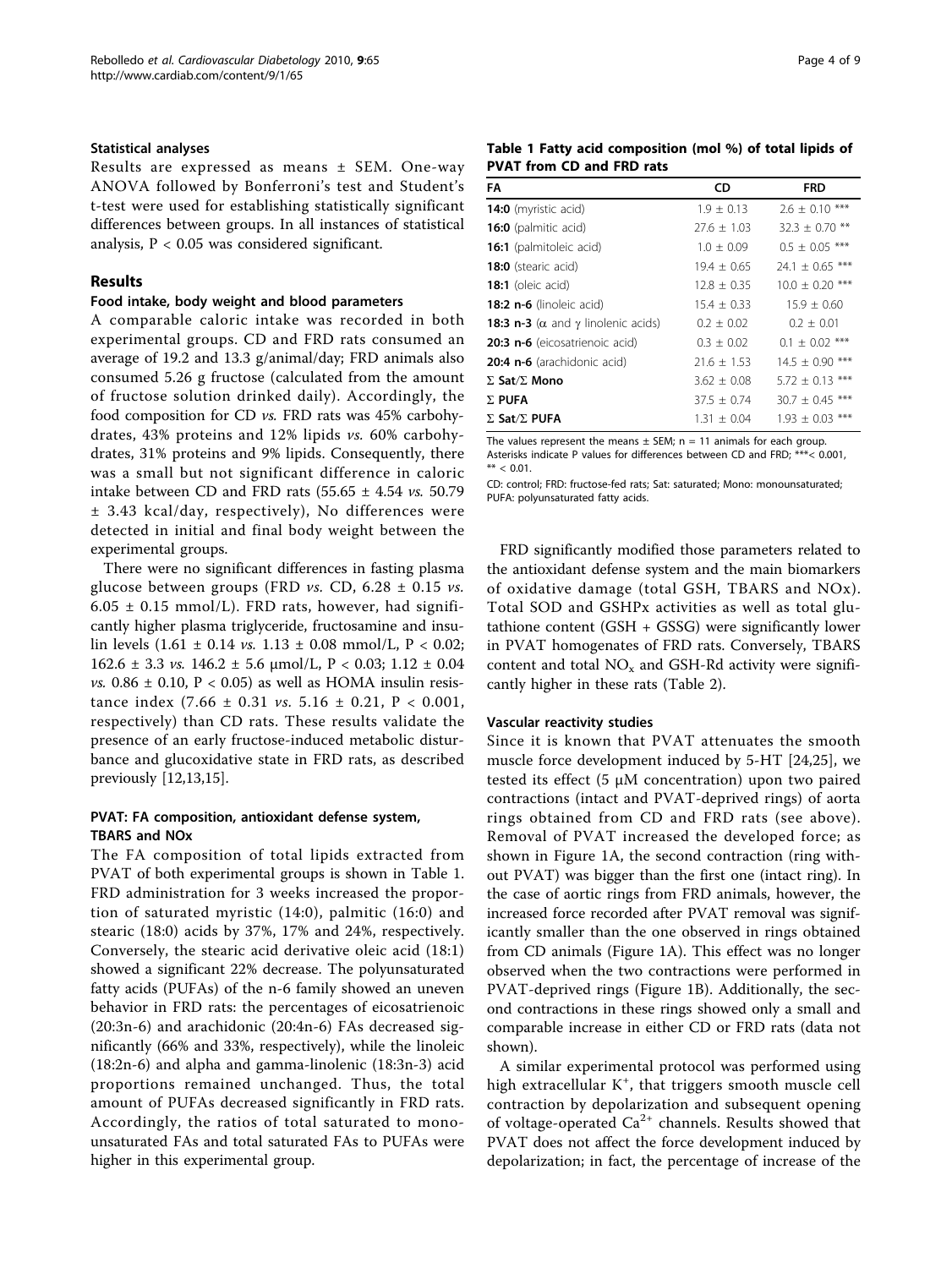#### Statistical analyses

Results are expressed as means ± SEM. One-way ANOVA followed by Bonferroni's test and Student's t-test were used for establishing statistically significant differences between groups. In all instances of statistical analysis,  $P < 0.05$  was considered significant.

#### Results

#### Food intake, body weight and blood parameters

A comparable caloric intake was recorded in both experimental groups. CD and FRD rats consumed an average of 19.2 and 13.3 g/animal/day; FRD animals also consumed 5.26 g fructose (calculated from the amount of fructose solution drinked daily). Accordingly, the food composition for CD vs. FRD rats was 45% carbohydrates, 43% proteins and 12% lipids vs. 60% carbohydrates, 31% proteins and 9% lipids. Consequently, there was a small but not significant difference in caloric intake between CD and FRD rats (55.65  $\pm$  4.54 *vs.* 50.79 ± 3.43 kcal/day, respectively), No differences were detected in initial and final body weight between the experimental groups.

There were no significant differences in fasting plasma glucose between groups (FRD vs. CD,  $6.28 \pm 0.15$  vs.  $6.05 \pm 0.15$  mmol/L). FRD rats, however, had significantly higher plasma triglyceride, fructosamine and insulin levels  $(1.61 \pm 0.14 \text{ vs. } 1.13 \pm 0.08 \text{ mmol/L}, P < 0.02$ ; 162.6  $\pm$  3.3 *vs.* 146.2  $\pm$  5.6  $\mu$ mol/L, P < 0.03; 1.12  $\pm$  0.04 vs.  $0.86 \pm 0.10$ ,  $P < 0.05$ ) as well as HOMA insulin resistance index  $(7.66 \pm 0.31 \text{ vs. } 5.16 \pm 0.21, \text{ P} < 0.001,$ respectively) than CD rats. These results validate the presence of an early fructose-induced metabolic disturbance and glucoxidative state in FRD rats, as described previously [\[12,13,15\]](#page-7-0).

# PVAT: FA composition, antioxidant defense system, TBARS and NOx

The FA composition of total lipids extracted from PVAT of both experimental groups is shown in Table 1. FRD administration for 3 weeks increased the proportion of saturated myristic (14:0), palmitic (16:0) and stearic (18:0) acids by 37%, 17% and 24%, respectively. Conversely, the stearic acid derivative oleic acid (18:1) showed a significant 22% decrease. The polyunsaturated fatty acids (PUFAs) of the n-6 family showed an uneven behavior in FRD rats: the percentages of eicosatrienoic (20:3n-6) and arachidonic (20:4n-6) FAs decreased significantly (66% and 33%, respectively), while the linoleic (18:2n-6) and alpha and gamma-linolenic (18:3n-3) acid proportions remained unchanged. Thus, the total amount of PUFAs decreased significantly in FRD rats. Accordingly, the ratios of total saturated to monounsaturated FAs and total saturated FAs to PUFAs were higher in this experimental group.

|  | Table 1 Fatty acid composition (mol %) of total lipids of |  |  |
|--|-----------------------------------------------------------|--|--|
|  | <b>PVAT from CD and FRD rats</b>                          |  |  |

| FA                                                       | CD              | <b>FRD</b>          |
|----------------------------------------------------------|-----------------|---------------------|
| 14:0 (myristic acid)                                     | $1.9 \pm 0.13$  | $2.6 \pm 0.10$ ***  |
| 16:0 (palmitic acid)                                     | $27.6 + 1.03$   | $32.3 \pm 0.70$ **  |
| 16:1 (palmitoleic acid)                                  | $1.0 \pm 0.09$  | $0.5 \pm 0.05$ ***  |
| 18:0 (stearic acid)                                      | $19.4 \pm 0.65$ | 24.1 $\pm$ 0.65 *** |
| <b>18:1</b> (oleic acid)                                 | $12.8 \pm 0.35$ | $10.0 \pm 0.20$ *** |
| <b>18:2 n-6</b> (linoleic acid)                          | $15.4 \pm 0.33$ | $15.9 + 0.60$       |
| <b>18:3 n-3</b> ( $\alpha$ and $\gamma$ linolenic acids) | $0.2 \pm 0.02$  | $0.2 \pm 0.01$      |
| 20:3 n-6 (eicosatrienoic acid)                           | $0.3 + 0.02$    | $0.1 \pm 0.02$ ***  |
| 20:4 n-6 (arachidonic acid)                              | $21.6 \pm 1.53$ | $14.5 \pm 0.90$ *** |
| $\Sigma$ Sat/ $\Sigma$ Mono                              | $3.62 \pm 0.08$ | $5.72 \pm 0.13$ *** |
| $\Sigma$ pufa                                            | $37.5 + 0.74$   | $30.7 \pm 0.45$ *** |
| $\Sigma$ Sat/ $\Sigma$ PUFA                              | $1.31 + 0.04$   | $1.93 \pm 0.03$ *** |

The values represent the means  $\pm$  SEM; n = 11 animals for each group. Asterisks indicate P values for differences between CD and FRD; \*\*\*< 0.001,  $*** < 0.01$ .

CD: control; FRD: fructose-fed rats; Sat: saturated; Mono: monounsaturated; PUFA: polyunsaturated fatty acids.

FRD significantly modified those parameters related to the antioxidant defense system and the main biomarkers of oxidative damage (total GSH, TBARS and NOx). Total SOD and GSHPx activities as well as total glutathione content (GSH + GSSG) were significantly lower in PVAT homogenates of FRD rats. Conversely, TBARS content and total  $NO<sub>x</sub>$  and GSH-Rd activity were significantly higher in these rats (Table [2](#page-4-0)).

#### Vascular reactivity studies

Since it is known that PVAT attenuates the smooth muscle force development induced by 5-HT [\[24](#page-7-0),[25\]](#page-7-0), we tested its effect (5 μM concentration) upon two paired contractions (intact and PVAT-deprived rings) of aorta rings obtained from CD and FRD rats (see above). Removal of PVAT increased the developed force; as shown in Figure [1A](#page-4-0), the second contraction (ring without PVAT) was bigger than the first one (intact ring). In the case of aortic rings from FRD animals, however, the increased force recorded after PVAT removal was significantly smaller than the one observed in rings obtained from CD animals (Figure [1A](#page-4-0)). This effect was no longer observed when the two contractions were performed in PVAT-deprived rings (Figure [1B\)](#page-4-0). Additionally, the second contractions in these rings showed only a small and comparable increase in either CD or FRD rats (data not shown).

A similar experimental protocol was performed using high extracellular  $K^+$ , that triggers smooth muscle cell contraction by depolarization and subsequent opening of voltage-operated  $Ca^{2+}$  channels. Results showed that PVAT does not affect the force development induced by depolarization; in fact, the percentage of increase of the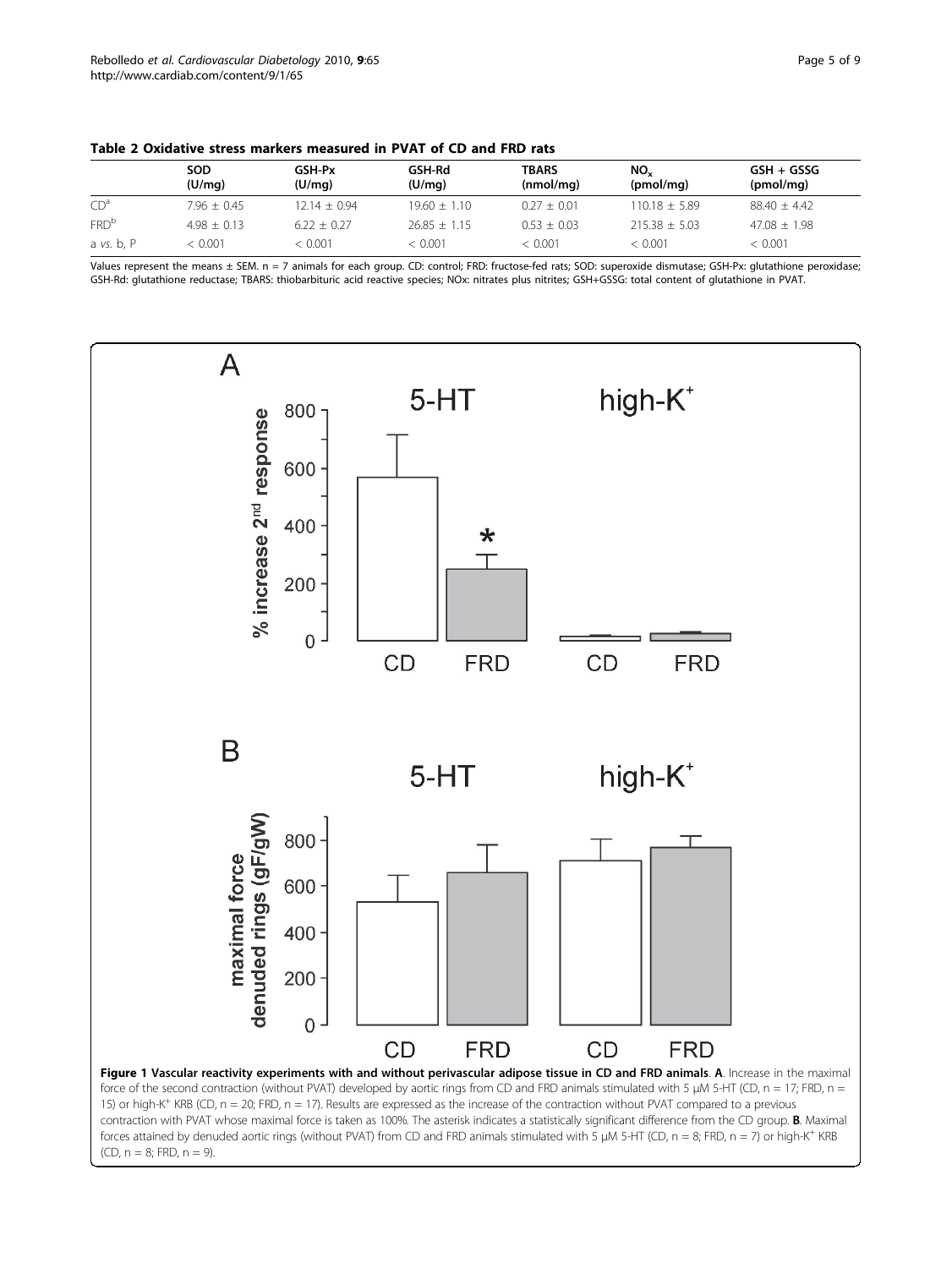<span id="page-4-0"></span>

|                         | SOD<br>(U/mq)   | GSH-Px<br>(U/mq) | GSH-Rd<br>(U/mq) | <b>TBARS</b><br>(nmol/mq) | NO <sub>v</sub><br>(pmol/mq) | $GSH + GSSG$<br>(pmol/mq) |
|-------------------------|-----------------|------------------|------------------|---------------------------|------------------------------|---------------------------|
| CD <sup>a</sup>         | $7.96 \pm 0.45$ | $12.14 + 0.94$   | $19.60 + 1.10$   | $0.27 \pm 0.01$           | $110.18 + 5.89$              | $88.40 + 4.42$            |
| <b>FRD</b> <sup>b</sup> | $4.98 + 0.13$   | $6.22 + 0.27$    | $26.85 + 1.15$   | $0.53 + 0.03$             | $215.38 + 5.03$              | $47.08 + 1.98$            |
| a $vs. b. P$            | < 0.001         | < 0.001          | < 0.001          | < 0.001                   | < 0.001                      | < 0.001                   |

Values represent the means ± SEM. n = 7 animals for each group. CD: control; FRD: fructose-fed rats; SOD: superoxide dismutase; GSH-Px: glutathione peroxidase; GSH-Rd: glutathione reductase; TBARS: thiobarbituric acid reactive species; NOx: nitrates plus nitrites; GSH+GSSG: total content of glutathione in PVAT.

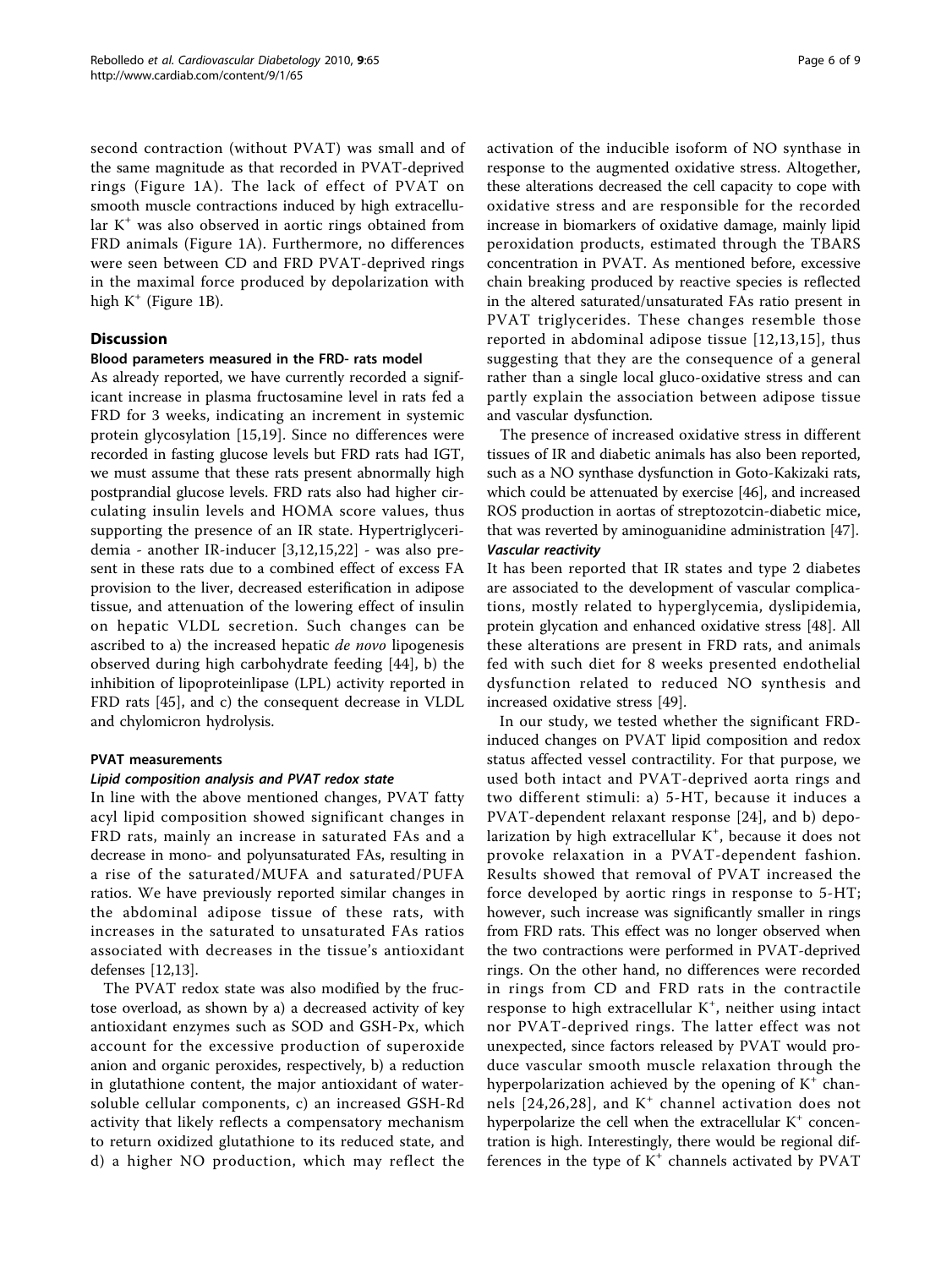second contraction (without PVAT) was small and of the same magnitude as that recorded in PVAT-deprived rings (Figure [1A\)](#page-4-0). The lack of effect of PVAT on smooth muscle contractions induced by high extracellular  $K^+$  was also observed in aortic rings obtained from FRD animals (Figure [1A](#page-4-0)). Furthermore, no differences were seen between CD and FRD PVAT-deprived rings in the maximal force produced by depolarization with high  $K^+$  (Figure [1B](#page-4-0)).

# **Discussion**

## Blood parameters measured in the FRD- rats model

As already reported, we have currently recorded a significant increase in plasma fructosamine level in rats fed a FRD for 3 weeks, indicating an increment in systemic protein glycosylation [[15,19](#page-7-0)]. Since no differences were recorded in fasting glucose levels but FRD rats had IGT, we must assume that these rats present abnormally high postprandial glucose levels. FRD rats also had higher circulating insulin levels and HOMA score values, thus supporting the presence of an IR state. Hypertriglyceridemia - another IR-inducer [\[3](#page-7-0),[12,15,22](#page-7-0)] - was also present in these rats due to a combined effect of excess FA provision to the liver, decreased esterification in adipose tissue, and attenuation of the lowering effect of insulin on hepatic VLDL secretion. Such changes can be ascribed to a) the increased hepatic *de novo* lipogenesis observed during high carbohydrate feeding [\[44](#page-7-0)], b) the inhibition of lipoproteinlipase (LPL) activity reported in FRD rats [\[45](#page-8-0)], and c) the consequent decrease in VLDL and chylomicron hydrolysis.

# PVAT measurements

#### Lipid composition analysis and PVAT redox state

In line with the above mentioned changes, PVAT fatty acyl lipid composition showed significant changes in FRD rats, mainly an increase in saturated FAs and a decrease in mono- and polyunsaturated FAs, resulting in a rise of the saturated/MUFA and saturated/PUFA ratios. We have previously reported similar changes in the abdominal adipose tissue of these rats, with increases in the saturated to unsaturated FAs ratios associated with decreases in the tissue's antioxidant defenses [\[12,13\]](#page-7-0).

The PVAT redox state was also modified by the fructose overload, as shown by a) a decreased activity of key antioxidant enzymes such as SOD and GSH-Px, which account for the excessive production of superoxide anion and organic peroxides, respectively, b) a reduction in glutathione content, the major antioxidant of watersoluble cellular components, c) an increased GSH-Rd activity that likely reflects a compensatory mechanism to return oxidized glutathione to its reduced state, and d) a higher NO production, which may reflect the activation of the inducible isoform of NO synthase in response to the augmented oxidative stress. Altogether, these alterations decreased the cell capacity to cope with oxidative stress and are responsible for the recorded increase in biomarkers of oxidative damage, mainly lipid peroxidation products, estimated through the TBARS concentration in PVAT. As mentioned before, excessive chain breaking produced by reactive species is reflected in the altered saturated/unsaturated FAs ratio present in PVAT triglycerides. These changes resemble those reported in abdominal adipose tissue [[12,13,15\]](#page-7-0), thus suggesting that they are the consequence of a general rather than a single local gluco-oxidative stress and can partly explain the association between adipose tissue and vascular dysfunction.

The presence of increased oxidative stress in different tissues of IR and diabetic animals has also been reported, such as a NO synthase dysfunction in Goto-Kakizaki rats, which could be attenuated by exercise [\[46\]](#page-8-0), and increased ROS production in aortas of streptozotcin-diabetic mice, that was reverted by aminoguanidine administration [\[47](#page-8-0)]. Vascular reactivity

It has been reported that IR states and type 2 diabetes are associated to the development of vascular complications, mostly related to hyperglycemia, dyslipidemia, protein glycation and enhanced oxidative stress [[48\]](#page-8-0). All these alterations are present in FRD rats, and animals fed with such diet for 8 weeks presented endothelial dysfunction related to reduced NO synthesis and increased oxidative stress [[49](#page-8-0)].

In our study, we tested whether the significant FRDinduced changes on PVAT lipid composition and redox status affected vessel contractility. For that purpose, we used both intact and PVAT-deprived aorta rings and two different stimuli: a) 5-HT, because it induces a PVAT-dependent relaxant response [[24](#page-7-0)], and b) depolarization by high extracellular K<sup>+</sup>, because it does not provoke relaxation in a PVAT-dependent fashion. Results showed that removal of PVAT increased the force developed by aortic rings in response to 5-HT; however, such increase was significantly smaller in rings from FRD rats. This effect was no longer observed when the two contractions were performed in PVAT-deprived rings. On the other hand, no differences were recorded in rings from CD and FRD rats in the contractile response to high extracellular K<sup>+</sup>, neither using intact nor PVAT-deprived rings. The latter effect was not unexpected, since factors released by PVAT would produce vascular smooth muscle relaxation through the hyperpolarization achieved by the opening of  $K^+$  channels  $[24,26,28]$  $[24,26,28]$  $[24,26,28]$  $[24,26,28]$  $[24,26,28]$ , and K<sup>+</sup> channel activation does not hyperpolarize the cell when the extracellular  $K^+$  concentration is high. Interestingly, there would be regional differences in the type of  $K^+$  channels activated by PVAT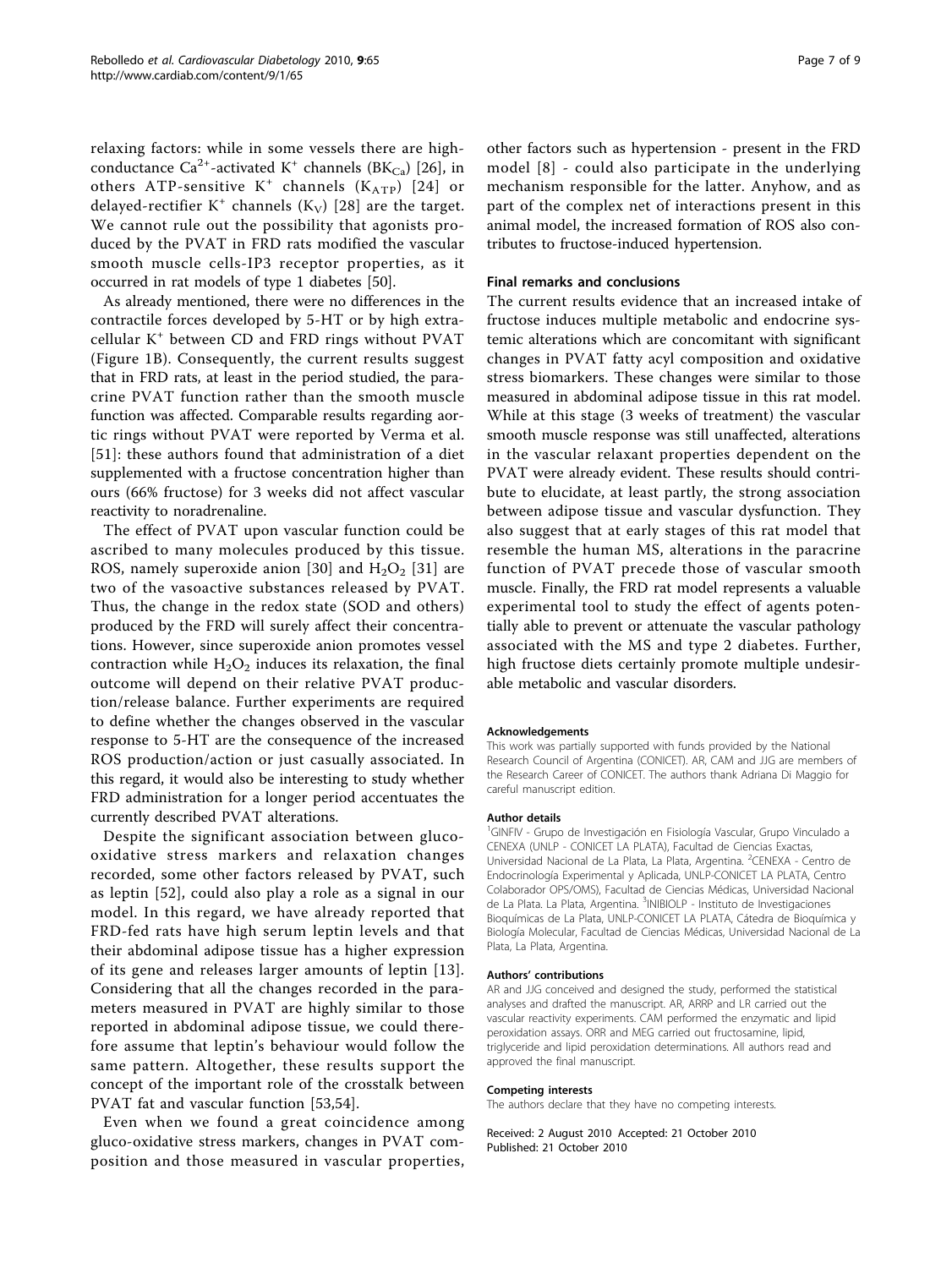relaxing factors: while in some vessels there are high-conductance Ca<sup>2+</sup>-activated K<sup>+</sup> channels (BK<sub>Ca</sub>) [[26\]](#page-7-0), in others ATP-sensitive K<sup>+</sup> channels (K<sub>ATP</sub>) [[24\]](#page-7-0) or delayed-rectifier K<sup>+</sup> channels (K<sub>V</sub>) [[28\]](#page-7-0) are the target. We cannot rule out the possibility that agonists produced by the PVAT in FRD rats modified the vascular smooth muscle cells-IP3 receptor properties, as it occurred in rat models of type 1 diabetes [[50\]](#page-8-0).

As already mentioned, there were no differences in the contractile forces developed by 5-HT or by high extracellular K<sup>+</sup> between CD and FRD rings without PVAT (Figure [1B\)](#page-4-0). Consequently, the current results suggest that in FRD rats, at least in the period studied, the paracrine PVAT function rather than the smooth muscle function was affected. Comparable results regarding aortic rings without PVAT were reported by Verma et al. [[51](#page-8-0)]: these authors found that administration of a diet supplemented with a fructose concentration higher than ours (66% fructose) for 3 weeks did not affect vascular reactivity to noradrenaline.

The effect of PVAT upon vascular function could be ascribed to many molecules produced by this tissue. ROS, namely superoxide anion [[30](#page-7-0)] and  $H_2O_2$  [[31\]](#page-7-0) are two of the vasoactive substances released by PVAT. Thus, the change in the redox state (SOD and others) produced by the FRD will surely affect their concentrations. However, since superoxide anion promotes vessel contraction while  $H_2O_2$  induces its relaxation, the final outcome will depend on their relative PVAT production/release balance. Further experiments are required to define whether the changes observed in the vascular response to 5-HT are the consequence of the increased ROS production/action or just casually associated. In this regard, it would also be interesting to study whether FRD administration for a longer period accentuates the currently described PVAT alterations.

Despite the significant association between glucooxidative stress markers and relaxation changes recorded, some other factors released by PVAT, such as leptin [[52](#page-8-0)], could also play a role as a signal in our model. In this regard, we have already reported that FRD-fed rats have high serum leptin levels and that their abdominal adipose tissue has a higher expression of its gene and releases larger amounts of leptin [[13\]](#page-7-0). Considering that all the changes recorded in the parameters measured in PVAT are highly similar to those reported in abdominal adipose tissue, we could therefore assume that leptin's behaviour would follow the same pattern. Altogether, these results support the concept of the important role of the crosstalk between PVAT fat and vascular function [\[53](#page-8-0),[54\]](#page-8-0).

Even when we found a great coincidence among gluco-oxidative stress markers, changes in PVAT composition and those measured in vascular properties, other factors such as hypertension - present in the FRD model [[8\]](#page-7-0) - could also participate in the underlying mechanism responsible for the latter. Anyhow, and as part of the complex net of interactions present in this animal model, the increased formation of ROS also contributes to fructose-induced hypertension.

#### Final remarks and conclusions

The current results evidence that an increased intake of fructose induces multiple metabolic and endocrine systemic alterations which are concomitant with significant changes in PVAT fatty acyl composition and oxidative stress biomarkers. These changes were similar to those measured in abdominal adipose tissue in this rat model. While at this stage (3 weeks of treatment) the vascular smooth muscle response was still unaffected, alterations in the vascular relaxant properties dependent on the PVAT were already evident. These results should contribute to elucidate, at least partly, the strong association between adipose tissue and vascular dysfunction. They also suggest that at early stages of this rat model that resemble the human MS, alterations in the paracrine function of PVAT precede those of vascular smooth muscle. Finally, the FRD rat model represents a valuable experimental tool to study the effect of agents potentially able to prevent or attenuate the vascular pathology associated with the MS and type 2 diabetes. Further, high fructose diets certainly promote multiple undesirable metabolic and vascular disorders.

#### Acknowledgements

This work was partially supported with funds provided by the National Research Council of Argentina (CONICET). AR, CAM and JJG are members of the Research Career of CONICET. The authors thank Adriana Di Maggio for careful manuscript edition.

#### Author details

<sup>1</sup>GINFIV - Grupo de Investigación en Fisiología Vascular, Grupo Vinculado a CENEXA (UNLP - CONICET LA PLATA), Facultad de Ciencias Exactas, Universidad Nacional de La Plata, La Plata, Argentina. <sup>2</sup>CENEXA - Centro de Endocrinología Experimental y Aplicada, UNLP-CONICET LA PLATA, Centro Colaborador OPS/OMS), Facultad de Ciencias Médicas, Universidad Nacional de La Plata. La Plata, Argentina. <sup>3</sup>INIBIOLP - Instituto de Investigaciones Bioquímicas de La Plata, UNLP-CONICET LA PLATA, Cátedra de Bioquímica y Biología Molecular, Facultad de Ciencias Médicas, Universidad Nacional de La Plata, La Plata, Argentina.

#### Authors' contributions

AR and JJG conceived and designed the study, performed the statistical analyses and drafted the manuscript. AR, ARRP and LR carried out the vascular reactivity experiments. CAM performed the enzymatic and lipid peroxidation assays. ORR and MEG carried out fructosamine, lipid, triglyceride and lipid peroxidation determinations. All authors read and approved the final manuscript.

#### Competing interests

The authors declare that they have no competing interests.

Received: 2 August 2010 Accepted: 21 October 2010 Published: 21 October 2010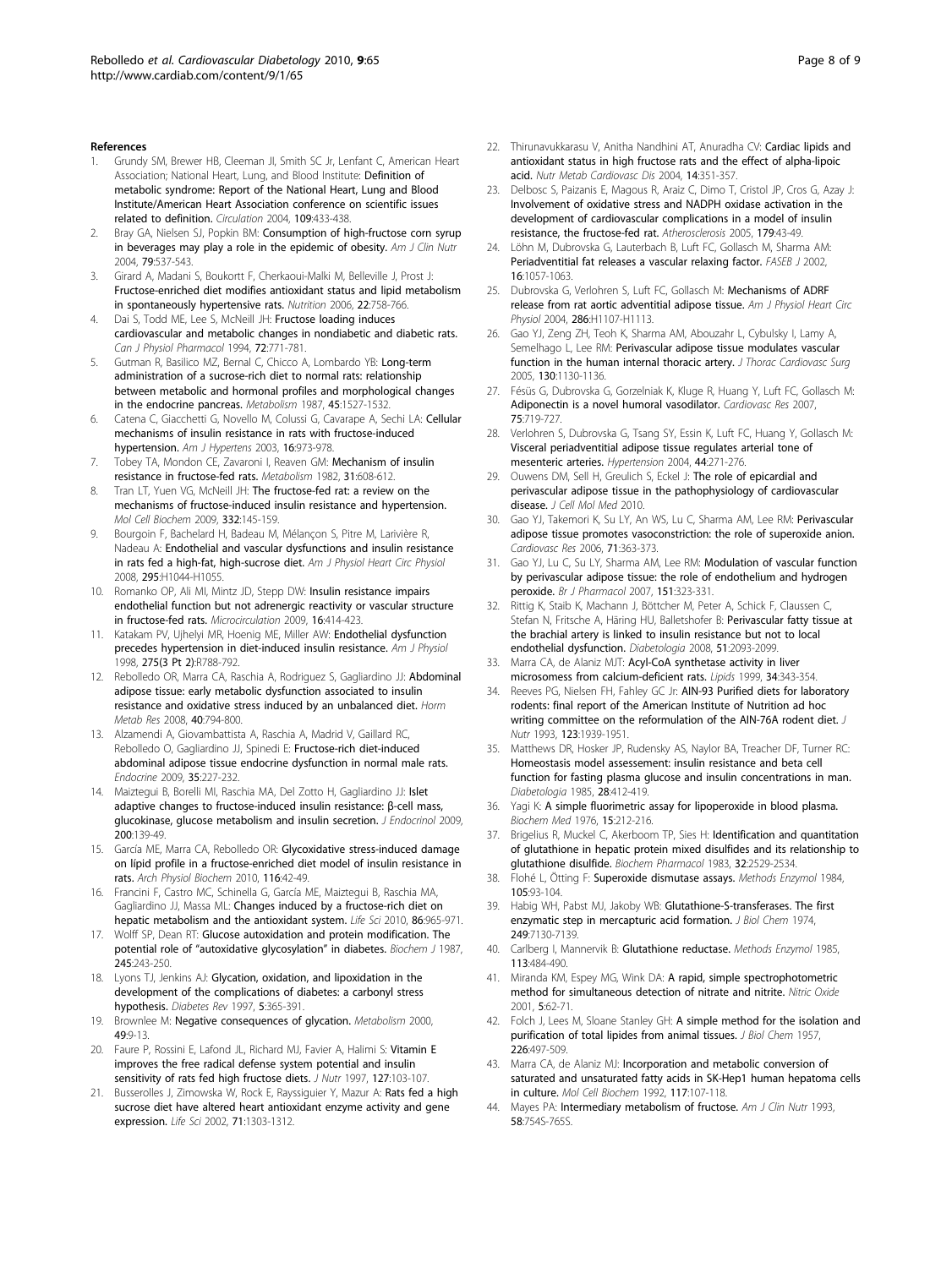#### <span id="page-7-0"></span>References

- 1. Grundy SM, Brewer HB, Cleeman JI, Smith SC Jr, Lenfant C, American Heart Association; National Heart, Lung, and Blood Institute: [Definition of](http://www.ncbi.nlm.nih.gov/pubmed/14744958?dopt=Abstract) [metabolic syndrome: Report of the National Heart, Lung and Blood](http://www.ncbi.nlm.nih.gov/pubmed/14744958?dopt=Abstract) [Institute/American Heart Association conference on scientific issues](http://www.ncbi.nlm.nih.gov/pubmed/14744958?dopt=Abstract) [related to definition.](http://www.ncbi.nlm.nih.gov/pubmed/14744958?dopt=Abstract) Circulation 2004, 109:433-438.
- Bray GA, Nielsen SJ, Popkin BM: [Consumption of high-fructose corn syrup](http://www.ncbi.nlm.nih.gov/pubmed/15051594?dopt=Abstract) [in beverages may play a role in the epidemic of obesity.](http://www.ncbi.nlm.nih.gov/pubmed/15051594?dopt=Abstract) Am J Clin Nutr 2004, 79:537-543.
- 3. Girard A, Madani S, Boukortt F, Cherkaoui-Malki M, Belleville J, Prost J: [Fructose-enriched diet modifies antioxidant status and lipid metabolism](http://www.ncbi.nlm.nih.gov/pubmed/16815490?dopt=Abstract) [in spontaneously hypertensive rats.](http://www.ncbi.nlm.nih.gov/pubmed/16815490?dopt=Abstract) Nutrition 2006, 22:758-766.
- 4. Dai S, Todd ME, Lee S, McNeill JH: [Fructose loading induces](http://www.ncbi.nlm.nih.gov/pubmed/7828085?dopt=Abstract) [cardiovascular and metabolic changes in nondiabetic and diabetic rats.](http://www.ncbi.nlm.nih.gov/pubmed/7828085?dopt=Abstract) Can J Physiol Pharmacol 1994, 72:771-781.
- Gutman R, Basilico MZ, Bernal C, Chicco A, Lombardo YB: Long-term administration of a sucrose-rich diet to normal rats: relationship between metabolic and hormonal profiles and morphological changes in the endocrine pancreas. Metabolism 1987, 45:1527-1532.
- 6. Catena C, Giacchetti G, Novello M, Colussi G, Cavarape A, Sechi LA: [Cellular](http://www.ncbi.nlm.nih.gov/pubmed/14573337?dopt=Abstract) [mechanisms of insulin resistance in rats with fructose-induced](http://www.ncbi.nlm.nih.gov/pubmed/14573337?dopt=Abstract) [hypertension.](http://www.ncbi.nlm.nih.gov/pubmed/14573337?dopt=Abstract) Am J Hypertens 2003, 16:973-978.
- 7. Tobey TA, Mondon CE, Zavaroni I, Reaven GM: [Mechanism of insulin](http://www.ncbi.nlm.nih.gov/pubmed/7043185?dopt=Abstract) [resistance in fructose-fed rats.](http://www.ncbi.nlm.nih.gov/pubmed/7043185?dopt=Abstract) Metabolism 1982, 31:608-612.
- 8. Tran LT, Yuen VG, McNeill JH: [The fructose-fed rat: a review on the](http://www.ncbi.nlm.nih.gov/pubmed/19536638?dopt=Abstract) [mechanisms of fructose-induced insulin resistance and hypertension.](http://www.ncbi.nlm.nih.gov/pubmed/19536638?dopt=Abstract) Mol Cell Biochem 2009, 332:145-159.
- 9. Bourgoin F, Bachelard H, Badeau M, Mélançon S, Pitre M, Larivière R, Nadeau A: [Endothelial and vascular dysfunctions and insulin resistance](http://www.ncbi.nlm.nih.gov/pubmed/18599593?dopt=Abstract) [in rats fed a high-fat, high-sucrose diet.](http://www.ncbi.nlm.nih.gov/pubmed/18599593?dopt=Abstract) Am J Physiol Heart Circ Physiol 2008, 295:H1044-H1055.
- 10. Romanko OP, Ali MI, Mintz JD, Stepp DW: [Insulin resistance impairs](http://www.ncbi.nlm.nih.gov/pubmed/19382001?dopt=Abstract) [endothelial function but not adrenergic reactivity or vascular structure](http://www.ncbi.nlm.nih.gov/pubmed/19382001?dopt=Abstract) [in fructose-fed rats.](http://www.ncbi.nlm.nih.gov/pubmed/19382001?dopt=Abstract) Microcirculation 2009, 16:414-423.
- 11. Katakam PV, Ujhelyi MR, Hoenig ME, Miller AW: [Endothelial dysfunction](http://www.ncbi.nlm.nih.gov/pubmed/9728076?dopt=Abstract) [precedes hypertension in diet-induced insulin resistance.](http://www.ncbi.nlm.nih.gov/pubmed/9728076?dopt=Abstract) Am J Physiol 1998, 275(3 Pt 2):R788-792.
- 12. Rebolledo OR, Marra CA, Raschia A, Rodriguez S, Gagliardino JJ: Abdominal adipose tissue: early metabolic dysfunction associated to insulin resistance and oxidative stress induced by an unbalanced diet. Horm Metab Res 2008, 40:794-800.
- 13. Alzamendi A, Giovambattista A, Raschia A, Madrid V, Gaillard RC, Rebolledo O, Gagliardino JJ, Spinedi E: [Fructose-rich diet-induced](http://www.ncbi.nlm.nih.gov/pubmed/19165636?dopt=Abstract) [abdominal adipose tissue endocrine dysfunction in normal male rats.](http://www.ncbi.nlm.nih.gov/pubmed/19165636?dopt=Abstract) Endocrine 2009, 35:227-232.
- 14. Maiztegui B, Borelli MI, Raschia MA, Del Zotto H, Gagliardino JJ: [Islet](http://www.ncbi.nlm.nih.gov/pubmed/19039094?dopt=Abstract) [adaptive changes to fructose-induced insulin resistance:](http://www.ncbi.nlm.nih.gov/pubmed/19039094?dopt=Abstract) β-cell mass, [glucokinase, glucose metabolism and insulin secretion.](http://www.ncbi.nlm.nih.gov/pubmed/19039094?dopt=Abstract) J Endocrinol 2009, 200:139-49.
- 15. García ME, Marra CA, Rebolledo OR: [Glycoxidative stress-induced damage](http://www.ncbi.nlm.nih.gov/pubmed/20082562?dopt=Abstract) [on lípid profile in a fructose-enriched diet model of insulin resistance in](http://www.ncbi.nlm.nih.gov/pubmed/20082562?dopt=Abstract) [rats.](http://www.ncbi.nlm.nih.gov/pubmed/20082562?dopt=Abstract) Arch Physiol Biochem 2010, 116:42-49.
- 16. Francini F, Castro MC, Schinella G, García ME, Maiztegui B, Raschia MA, Gagliardino JJ, Massa ML: [Changes induced by a fructose-rich diet on](http://www.ncbi.nlm.nih.gov/pubmed/20470786?dopt=Abstract) [hepatic metabolism and the antioxidant system.](http://www.ncbi.nlm.nih.gov/pubmed/20470786?dopt=Abstract) Life Sci 2010, 86:965-971.
- 17. Wolff SP, Dean RT: [Glucose autoxidation and protein modification. The](http://www.ncbi.nlm.nih.gov/pubmed/3117042?dopt=Abstract) potential role of "[autoxidative glycosylation](http://www.ncbi.nlm.nih.gov/pubmed/3117042?dopt=Abstract)" in diabetes. Biochem J 1987, 245:243-250.
- 18. Lyons TJ, Jenkins AJ: Glycation, oxidation, and lipoxidation in the development of the complications of diabetes: a carbonyl stress hypothesis. Diabetes Rev 1997, 5:365-391.
- 19. Brownlee M: [Negative consequences of glycation.](http://www.ncbi.nlm.nih.gov/pubmed/10693913?dopt=Abstract) Metabolism 2000, 49:9-13.
- 20. Faure P, Rossini E, Lafond JL, Richard MJ, Favier A, Halimi S: [Vitamin E](http://www.ncbi.nlm.nih.gov/pubmed/9040552?dopt=Abstract) [improves the free radical defense system potential and insulin](http://www.ncbi.nlm.nih.gov/pubmed/9040552?dopt=Abstract) [sensitivity of rats fed high fructose diets.](http://www.ncbi.nlm.nih.gov/pubmed/9040552?dopt=Abstract) J Nutr 1997, 127:103-107.
- 21. Busserolles J, Zimowska W, Rock E, Rayssiguier Y, Mazur A: [Rats fed a high](http://www.ncbi.nlm.nih.gov/pubmed/12106595?dopt=Abstract) [sucrose diet have altered heart antioxidant enzyme activity and gene](http://www.ncbi.nlm.nih.gov/pubmed/12106595?dopt=Abstract) [expression.](http://www.ncbi.nlm.nih.gov/pubmed/12106595?dopt=Abstract) Life Sci 2002, 71:1303-1312.
- 22. Thirunavukkarasu V, Anitha Nandhini AT, Anuradha CV: [Cardiac lipids and](http://www.ncbi.nlm.nih.gov/pubmed/15853119?dopt=Abstract) [antioxidant status in high fructose rats and the effect of alpha-lipoic](http://www.ncbi.nlm.nih.gov/pubmed/15853119?dopt=Abstract) [acid.](http://www.ncbi.nlm.nih.gov/pubmed/15853119?dopt=Abstract) Nutr Metab Cardiovasc Dis 2004, 14:351-357.
- 23. Delbosc S, Paizanis E, Magous R, Araiz C, Dimo T, Cristol JP, Cros G, Azay J: [Involvement of oxidative stress and NADPH oxidase activation in the](http://www.ncbi.nlm.nih.gov/pubmed/15721008?dopt=Abstract) [development of cardiovascular complications in a model of insulin](http://www.ncbi.nlm.nih.gov/pubmed/15721008?dopt=Abstract) [resistance, the fructose-fed rat.](http://www.ncbi.nlm.nih.gov/pubmed/15721008?dopt=Abstract) Atherosclerosis 2005, 179:43-49.
- 24. Löhn M, Dubrovska G, Lauterbach B, Luft FC, Gollasch M, Sharma AM: [Periadventitial fat releases a vascular relaxing factor.](http://www.ncbi.nlm.nih.gov/pubmed/12087067?dopt=Abstract) FASEB J 2002, 16:1057-1063.
- 25. Dubrovska G, Verlohren S, Luft FC, Gollasch M: [Mechanisms of ADRF](http://www.ncbi.nlm.nih.gov/pubmed/14644761?dopt=Abstract) [release from rat aortic adventitial adipose tissue.](http://www.ncbi.nlm.nih.gov/pubmed/14644761?dopt=Abstract) Am J Physiol Heart Circ Physiol 2004, 286:H1107-H1113.
- 26. Gao YJ, Zeng ZH, Teoh K, Sharma AM, Abouzahr L, Cybulsky I, Lamy A, Semelhago L, Lee RM: [Perivascular adipose tissue modulates vascular](http://www.ncbi.nlm.nih.gov/pubmed/16214530?dopt=Abstract) [function in the human internal thoracic artery.](http://www.ncbi.nlm.nih.gov/pubmed/16214530?dopt=Abstract) J Thorac Cardiovasc Surg 2005, 130:1130-1136.
- 27. Fésüs G, Dubrovska G, Gorzelniak K, Kluge R, Huang Y, Luft FC, Gollasch M: [Adiponectin is a novel humoral vasodilator.](http://www.ncbi.nlm.nih.gov/pubmed/17617391?dopt=Abstract) Cardiovasc Res 2007, 75:719-727.
- 28. Verlohren S, Dubrovska G, Tsang SY, Essin K, Luft FC, Huang Y, Gollasch M: [Visceral periadventitial adipose tissue regulates arterial tone of](http://www.ncbi.nlm.nih.gov/pubmed/15302842?dopt=Abstract) [mesenteric arteries.](http://www.ncbi.nlm.nih.gov/pubmed/15302842?dopt=Abstract) Hypertension 2004, 44:271-276.
- 29. Ouwens DM, Sell H, Greulich S, Eckel J: [The role of epicardial and](http://www.ncbi.nlm.nih.gov/pubmed/20716126?dopt=Abstract) [perivascular adipose tissue in the pathophysiology of cardiovascular](http://www.ncbi.nlm.nih.gov/pubmed/20716126?dopt=Abstract) [disease.](http://www.ncbi.nlm.nih.gov/pubmed/20716126?dopt=Abstract) J Cell Mol Med 2010.
- 30. Gao YJ, Takemori K, Su LY, An WS, Lu C, Sharma AM, Lee RM: [Perivascular](http://www.ncbi.nlm.nih.gov/pubmed/16756966?dopt=Abstract) [adipose tissue promotes vasoconstriction: the role of superoxide anion.](http://www.ncbi.nlm.nih.gov/pubmed/16756966?dopt=Abstract) Cardiovasc Res 2006, 71:363-373.
- 31. Gao YJ, Lu C, Su LY, Sharma AM, Lee RM: [Modulation of vascular function](http://www.ncbi.nlm.nih.gov/pubmed/17384669?dopt=Abstract) [by perivascular adipose tissue: the role of endothelium and hydrogen](http://www.ncbi.nlm.nih.gov/pubmed/17384669?dopt=Abstract) [peroxide.](http://www.ncbi.nlm.nih.gov/pubmed/17384669?dopt=Abstract) Br J Pharmacol 2007, 151:323-331.
- 32. Rittig K, Staib K, Machann J, Böttcher M, Peter A, Schick F, Claussen C, Stefan N, Fritsche A, Häring HU, Balletshofer B: [Perivascular fatty tissue at](http://www.ncbi.nlm.nih.gov/pubmed/18712517?dopt=Abstract) [the brachial artery is linked to insulin resistance but not to local](http://www.ncbi.nlm.nih.gov/pubmed/18712517?dopt=Abstract) [endothelial dysfunction.](http://www.ncbi.nlm.nih.gov/pubmed/18712517?dopt=Abstract) Diabetologia 2008, 51:2093-2099.
- 33. Marra CA, de Alaniz MJT: [Acyl-CoA synthetase activity in liver](http://www.ncbi.nlm.nih.gov/pubmed/10443967?dopt=Abstract) [microsomess from calcium-deficient rats.](http://www.ncbi.nlm.nih.gov/pubmed/10443967?dopt=Abstract) Lipids 1999, 34:343-354.
- 34. Reeves PG, Nielsen FH, Fahley GC Jr: [AIN-93 Purified diets for laboratory](http://www.ncbi.nlm.nih.gov/pubmed/8229312?dopt=Abstract) [rodents: final report of the American Institute of Nutrition ad hoc](http://www.ncbi.nlm.nih.gov/pubmed/8229312?dopt=Abstract) [writing committee on the reformulation of the AIN-76A rodent diet.](http://www.ncbi.nlm.nih.gov/pubmed/8229312?dopt=Abstract) J Nutr 1993, 123:1939-1951.
- 35. Matthews DR, Hosker JP, Rudensky AS, Naylor BA, Treacher DF, Turner RC: [Homeostasis model assessement: insulin resistance and beta cell](http://www.ncbi.nlm.nih.gov/pubmed/3899825?dopt=Abstract) [function for fasting plasma glucose and insulin concentrations in man.](http://www.ncbi.nlm.nih.gov/pubmed/3899825?dopt=Abstract) Diabetologia 1985, 28:412-419.
- 36. Yagi K: [A simple fluorimetric assay for lipoperoxide in blood plasma.](http://www.ncbi.nlm.nih.gov/pubmed/962904?dopt=Abstract) Biochem Med 1976, 15:212-216.
- 37. Brigelius R, Muckel C, Akerboom TP, Sies H: [Identification and quantitation](http://www.ncbi.nlm.nih.gov/pubmed/6615548?dopt=Abstract) [of glutathione in hepatic protein mixed disulfides and its relationship to](http://www.ncbi.nlm.nih.gov/pubmed/6615548?dopt=Abstract) [glutathione disulfide.](http://www.ncbi.nlm.nih.gov/pubmed/6615548?dopt=Abstract) Biochem Pharmacol 1983, 32:2529-2534.
- 38. Flohé L, Ötting F: [Superoxide dismutase assays.](http://www.ncbi.nlm.nih.gov/pubmed/6328209?dopt=Abstract) Methods Enzymol 1984, 105:93-104.
- 39. Habig WH, Pabst MJ, Jakoby WB: [Glutathione-S-transferases. The first](http://www.ncbi.nlm.nih.gov/pubmed/4436300?dopt=Abstract) [enzymatic step in mercapturic acid formation.](http://www.ncbi.nlm.nih.gov/pubmed/4436300?dopt=Abstract) J Biol Chem 1974, 249:7130-7139.
- 40. Carlberg I, Mannervik B: [Glutathione reductase.](http://www.ncbi.nlm.nih.gov/pubmed/3003504?dopt=Abstract) Methods Enzymol 1985, 113:484-490.
- 41. Miranda KM, Espey MG, Wink DA: [A rapid, simple spectrophotometric](http://www.ncbi.nlm.nih.gov/pubmed/11178938?dopt=Abstract) [method for simultaneous detection of nitrate and nitrite.](http://www.ncbi.nlm.nih.gov/pubmed/11178938?dopt=Abstract) Nitric Oxide 2001, 5:62-71.
- 42. Folch J, Lees M, Sloane Stanley GH: [A simple method for the isolation and](http://www.ncbi.nlm.nih.gov/pubmed/13428781?dopt=Abstract) [purification of total lipides from animal tissues.](http://www.ncbi.nlm.nih.gov/pubmed/13428781?dopt=Abstract) J Biol Chem 1957, 226:497-509.
- 43. Marra CA, de Alaniz MJ: [Incorporation and metabolic conversion of](http://www.ncbi.nlm.nih.gov/pubmed/1336810?dopt=Abstract) [saturated and unsaturated fatty acids in SK-Hep1 human hepatoma cells](http://www.ncbi.nlm.nih.gov/pubmed/1336810?dopt=Abstract) [in culture.](http://www.ncbi.nlm.nih.gov/pubmed/1336810?dopt=Abstract) Mol Cell Biochem 1992, 117:107-118.
- 44. Mayes PA: [Intermediary metabolism of fructose.](http://www.ncbi.nlm.nih.gov/pubmed/8213607?dopt=Abstract) Am J Clin Nutr 1993, 58:754S-765S.